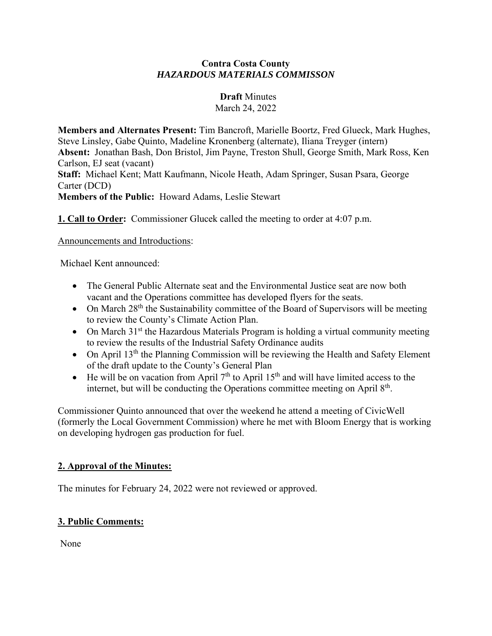#### **Contra Costa County** *HAZARDOUS MATERIALS COMMISSON*

### **Draft** Minutes

March 24, 2022

**Members and Alternates Present:** Tim Bancroft, Marielle Boortz, Fred Glueck, Mark Hughes, Steve Linsley, Gabe Quinto, Madeline Kronenberg (alternate), Iliana Treyger (intern) **Absent:** Jonathan Bash, Don Bristol, Jim Payne, Treston Shull, George Smith, Mark Ross, Ken Carlson, EJ seat (vacant) **Staff:** Michael Kent; Matt Kaufmann, Nicole Heath, Adam Springer, Susan Psara, George Carter (DCD) **Members of the Public:** Howard Adams, Leslie Stewart

**1. Call to Order:** Commissioner Glucek called the meeting to order at 4:07 p.m.

Announcements and Introductions:

Michael Kent announced:

- The General Public Alternate seat and the Environmental Justice seat are now both vacant and the Operations committee has developed flyers for the seats.
- On March  $28<sup>th</sup>$  the Sustainability committee of the Board of Supervisors will be meeting to review the County's Climate Action Plan.
- On March  $31<sup>st</sup>$  the Hazardous Materials Program is holding a virtual community meeting to review the results of the Industrial Safety Ordinance audits
- On April  $13<sup>th</sup>$  the Planning Commission will be reviewing the Health and Safety Element of the draft update to the County's General Plan
- He will be on vacation from April  $7<sup>th</sup>$  to April 15<sup>th</sup> and will have limited access to the internet, but will be conducting the Operations committee meeting on April  $8<sup>th</sup>$ .

Commissioner Quinto announced that over the weekend he attend a meeting of CivicWell (formerly the Local Government Commission) where he met with Bloom Energy that is working on developing hydrogen gas production for fuel.

# **2. Approval of the Minutes:**

The minutes for February 24, 2022 were not reviewed or approved.

# **3. Public Comments:**

None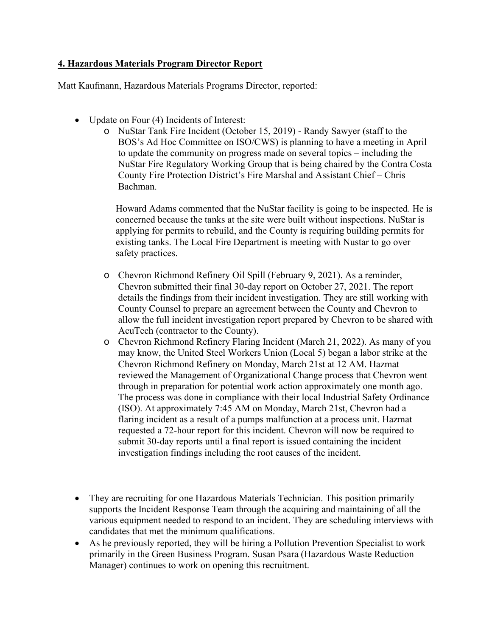### **4. Hazardous Materials Program Director Report**

Matt Kaufmann, Hazardous Materials Programs Director, reported:

- Update on Four (4) Incidents of Interest:
	- o NuStar Tank Fire Incident (October 15, 2019) Randy Sawyer (staff to the BOS's Ad Hoc Committee on ISO/CWS) is planning to have a meeting in April to update the community on progress made on several topics – including the NuStar Fire Regulatory Working Group that is being chaired by the Contra Costa County Fire Protection District's Fire Marshal and Assistant Chief – Chris Bachman.

Howard Adams commented that the NuStar facility is going to be inspected. He is concerned because the tanks at the site were built without inspections. NuStar is applying for permits to rebuild, and the County is requiring building permits for existing tanks. The Local Fire Department is meeting with Nustar to go over safety practices.

- o Chevron Richmond Refinery Oil Spill (February 9, 2021). As a reminder, Chevron submitted their final 30-day report on October 27, 2021. The report details the findings from their incident investigation. They are still working with County Counsel to prepare an agreement between the County and Chevron to allow the full incident investigation report prepared by Chevron to be shared with AcuTech (contractor to the County).
- o Chevron Richmond Refinery Flaring Incident (March 21, 2022). As many of you may know, the United Steel Workers Union (Local 5) began a labor strike at the Chevron Richmond Refinery on Monday, March 21st at 12 AM. Hazmat reviewed the Management of Organizational Change process that Chevron went through in preparation for potential work action approximately one month ago. The process was done in compliance with their local Industrial Safety Ordinance (ISO). At approximately 7:45 AM on Monday, March 21st, Chevron had a flaring incident as a result of a pumps malfunction at a process unit. Hazmat requested a 72-hour report for this incident. Chevron will now be required to submit 30-day reports until a final report is issued containing the incident investigation findings including the root causes of the incident.
- They are recruiting for one Hazardous Materials Technician. This position primarily supports the Incident Response Team through the acquiring and maintaining of all the various equipment needed to respond to an incident. They are scheduling interviews with candidates that met the minimum qualifications.
- As he previously reported, they will be hiring a Pollution Prevention Specialist to work primarily in the Green Business Program. Susan Psara (Hazardous Waste Reduction Manager) continues to work on opening this recruitment.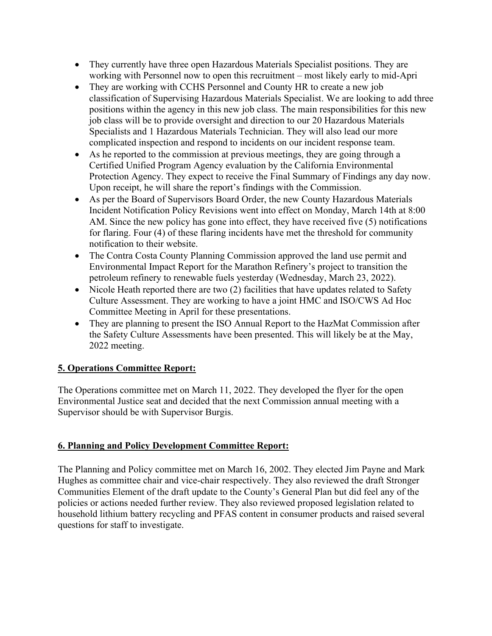- They currently have three open Hazardous Materials Specialist positions. They are working with Personnel now to open this recruitment – most likely early to mid-Apri
- They are working with CCHS Personnel and County HR to create a new job classification of Supervising Hazardous Materials Specialist. We are looking to add three positions within the agency in this new job class. The main responsibilities for this new job class will be to provide oversight and direction to our 20 Hazardous Materials Specialists and 1 Hazardous Materials Technician. They will also lead our more complicated inspection and respond to incidents on our incident response team.
- As he reported to the commission at previous meetings, they are going through a Certified Unified Program Agency evaluation by the California Environmental Protection Agency. They expect to receive the Final Summary of Findings any day now. Upon receipt, he will share the report's findings with the Commission.
- As per the Board of Supervisors Board Order, the new County Hazardous Materials Incident Notification Policy Revisions went into effect on Monday, March 14th at 8:00 AM. Since the new policy has gone into effect, they have received five (5) notifications for flaring. Four (4) of these flaring incidents have met the threshold for community notification to their website.
- The Contra Costa County Planning Commission approved the land use permit and Environmental Impact Report for the Marathon Refinery's project to transition the petroleum refinery to renewable fuels yesterday (Wednesday, March 23, 2022).
- Nicole Heath reported there are two (2) facilities that have updates related to Safety Culture Assessment. They are working to have a joint HMC and ISO/CWS Ad Hoc Committee Meeting in April for these presentations.
- They are planning to present the ISO Annual Report to the HazMat Commission after the Safety Culture Assessments have been presented. This will likely be at the May, 2022 meeting.

# **5. Operations Committee Report:**

The Operations committee met on March 11, 2022. They developed the flyer for the open Environmental Justice seat and decided that the next Commission annual meeting with a Supervisor should be with Supervisor Burgis.

# **6. Planning and Policy Development Committee Report:**

The Planning and Policy committee met on March 16, 2002. They elected Jim Payne and Mark Hughes as committee chair and vice-chair respectively. They also reviewed the draft Stronger Communities Element of the draft update to the County's General Plan but did feel any of the policies or actions needed further review. They also reviewed proposed legislation related to household lithium battery recycling and PFAS content in consumer products and raised several questions for staff to investigate.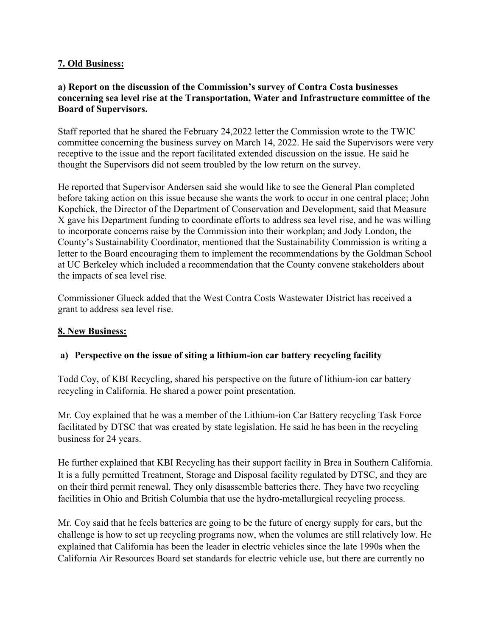### **7. Old Business:**

### **a) Report on the discussion of the Commission's survey of Contra Costa businesses concerning sea level rise at the Transportation, Water and Infrastructure committee of the Board of Supervisors.**

Staff reported that he shared the February 24,2022 letter the Commission wrote to the TWIC committee concerning the business survey on March 14, 2022. He said the Supervisors were very receptive to the issue and the report facilitated extended discussion on the issue. He said he thought the Supervisors did not seem troubled by the low return on the survey.

He reported that Supervisor Andersen said she would like to see the General Plan completed before taking action on this issue because she wants the work to occur in one central place; John Kopchick, the Director of the Department of Conservation and Development, said that Measure X gave his Department funding to coordinate efforts to address sea level rise, and he was willing to incorporate concerns raise by the Commission into their workplan; and Jody London, the County's Sustainability Coordinator, mentioned that the Sustainability Commission is writing a letter to the Board encouraging them to implement the recommendations by the Goldman School at UC Berkeley which included a recommendation that the County convene stakeholders about the impacts of sea level rise.

Commissioner Glueck added that the West Contra Costs Wastewater District has received a grant to address sea level rise.

### **8. New Business:**

### **a) Perspective on the issue of siting a lithium-ion car battery recycling facility**

Todd Coy, of KBI Recycling, shared his perspective on the future of lithium-ion car battery recycling in California. He shared a power point presentation.

Mr. Coy explained that he was a member of the Lithium-ion Car Battery recycling Task Force facilitated by DTSC that was created by state legislation. He said he has been in the recycling business for 24 years.

He further explained that KBI Recycling has their support facility in Brea in Southern California. It is a fully permitted Treatment, Storage and Disposal facility regulated by DTSC, and they are on their third permit renewal. They only disassemble batteries there. They have two recycling facilities in Ohio and British Columbia that use the hydro-metallurgical recycling process.

Mr. Coy said that he feels batteries are going to be the future of energy supply for cars, but the challenge is how to set up recycling programs now, when the volumes are still relatively low. He explained that California has been the leader in electric vehicles since the late 1990s when the California Air Resources Board set standards for electric vehicle use, but there are currently no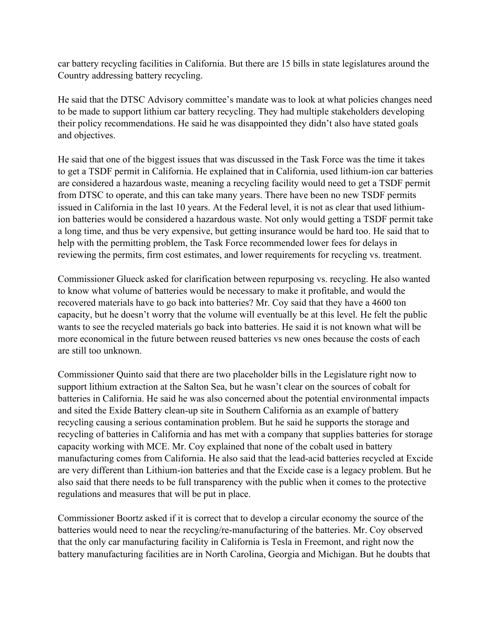car battery recycling facilities in California. But there are 15 bills in state legislatures around the Country addressing battery recycling.

He said that the DTSC Advisory committee's mandate was to look at what policies changes need to be made to support lithium car battery recycling. They had multiple stakeholders developing their policy recommendations. He said he was disappointed they didn't also have stated goals and objectives.

He said that one of the biggest issues that was discussed in the Task Force was the time it takes to get a TSDF permit in California. He explained that in California, used lithium-ion car batteries are considered a hazardous waste, meaning a recycling facility would need to get a TSDF permit from DTSC to operate, and this can take many years. There have been no new TSDF permits issued in California in the last 10 years. At the Federal level, it is not as clear that used lithiumion batteries would be considered a hazardous waste. Not only would getting a TSDF permit take a long time, and thus be very expensive, but getting insurance would be hard too. He said that to help with the permitting problem, the Task Force recommended lower fees for delays in reviewing the permits, firm cost estimates, and lower requirements for recycling vs. treatment.

Commissioner Glueck asked for clarification between repurposing vs. recycling. He also wanted to know what volume of batteries would be necessary to make it profitable, and would the recovered materials have to go back into batteries? Mr. Coy said that they have a 4600 ton capacity, but he doesn't worry that the volume will eventually be at this level. He felt the public wants to see the recycled materials go back into batteries. He said it is not known what will be more economical in the future between reused batteries vs new ones because the costs of each are still too unknown.

Commissioner Quinto said that there are two placeholder bills in the Legislature right now to support lithium extraction at the Salton Sea, but he wasn't clear on the sources of cobalt for batteries in California. He said he was also concerned about the potential environmental impacts and sited the Exide Battery clean-up site in Southern California as an example of battery recycling causing a serious contamination problem. But he said he supports the storage and recycling of batteries in California and has met with a company that supplies batteries for storage capacity working with MCE. Mr. Coy explained that none of the cobalt used in battery manufacturing comes from California. He also said that the lead-acid batteries recycled at Excide are very different than Lithium-ion batteries and that the Excide case is a legacy problem. But he also said that there needs to be full transparency with the public when it comes to the protective regulations and measures that will be put in place.

Commissioner Boortz asked if it is correct that to develop a circular economy the source of the batteries would need to near the recycling/re-manufacturing of the batteries. Mr. Coy observed that the only car manufacturing facility in California is Tesla in Freemont, and right now the battery manufacturing facilities are in North Carolina, Georgia and Michigan. But he doubts that